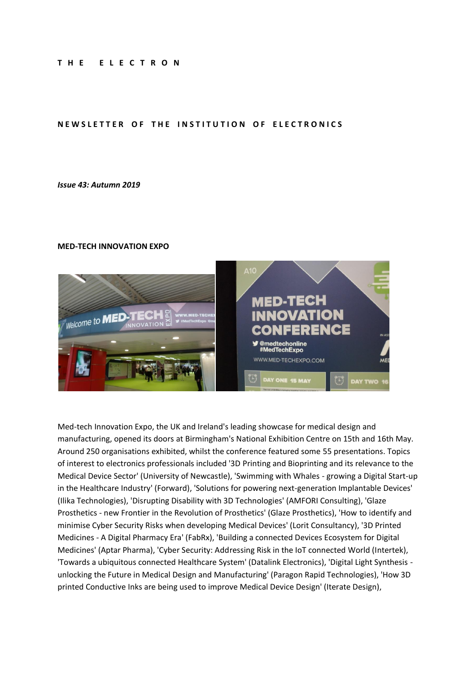#### **T H E E L E C T R O N**

### NEWSLETTER OF THE INSTITUTION OF ELECTRONICS

#### *Issue 43: Autumn 2019*

#### **MED-TECH INNOVATION EXPO**



Med-tech Innovation Expo, the UK and Ireland's leading showcase for medical design and manufacturing, opened its doors at Birmingham's National Exhibition Centre on 15th and 16th May. Around 250 organisations exhibited, whilst the conference featured some 55 presentations. Topics of interest to electronics professionals included '3D Printing and Bioprinting and its relevance to the Medical Device Sector' (University of Newcastle), 'Swimming with Whales - growing a Digital Start-up in the Healthcare Industry' (Forward), 'Solutions for powering next-generation Implantable Devices' (Ilika Technologies), 'Disrupting Disability with 3D Technologies' (AMFORI Consulting), 'Glaze Prosthetics - new Frontier in the Revolution of Prosthetics' (Glaze Prosthetics), 'How to identify and minimise Cyber Security Risks when developing Medical Devices' (Lorit Consultancy), '3D Printed Medicines - A Digital Pharmacy Era' (FabRx), 'Building a connected Devices Ecosystem for Digital Medicines' (Aptar Pharma), 'Cyber Security: Addressing Risk in the IoT connected World (Intertek), 'Towards a ubiquitous connected Healthcare System' (Datalink Electronics), 'Digital Light Synthesis unlocking the Future in Medical Design and Manufacturing' (Paragon Rapid Technologies), 'How 3D printed Conductive Inks are being used to improve Medical Device Design' (Iterate Design),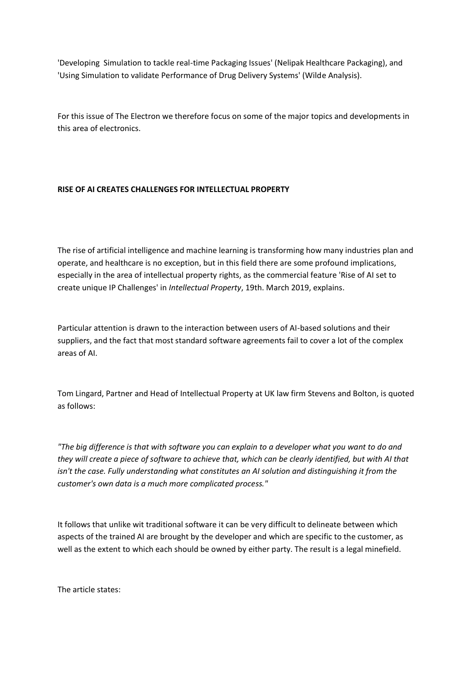'Developing Simulation to tackle real-time Packaging Issues' (Nelipak Healthcare Packaging), and 'Using Simulation to validate Performance of Drug Delivery Systems' (Wilde Analysis).

For this issue of The Electron we therefore focus on some of the major topics and developments in this area of electronics.

# **RISE OF AI CREATES CHALLENGES FOR INTELLECTUAL PROPERTY**

The rise of artificial intelligence and machine learning is transforming how many industries plan and operate, and healthcare is no exception, but in this field there are some profound implications, especially in the area of intellectual property rights, as the commercial feature 'Rise of AI set to create unique IP Challenges' in *Intellectual Property*, 19th. March 2019, explains.

Particular attention is drawn to the interaction between users of AI-based solutions and their suppliers, and the fact that most standard software agreements fail to cover a lot of the complex areas of AI.

Tom Lingard, Partner and Head of Intellectual Property at UK law firm Stevens and Bolton, is quoted as follows:

*"The big difference is that with software you can explain to a developer what you want to do and they will create a piece of software to achieve that, which can be clearly identified, but with AI that isn't the case. Fully understanding what constitutes an AI solution and distinguishing it from the customer's own data is a much more complicated process."*

It follows that unlike wit traditional software it can be very difficult to delineate between which aspects of the trained AI are brought by the developer and which are specific to the customer, as well as the extent to which each should be owned by either party. The result is a legal minefield.

The article states: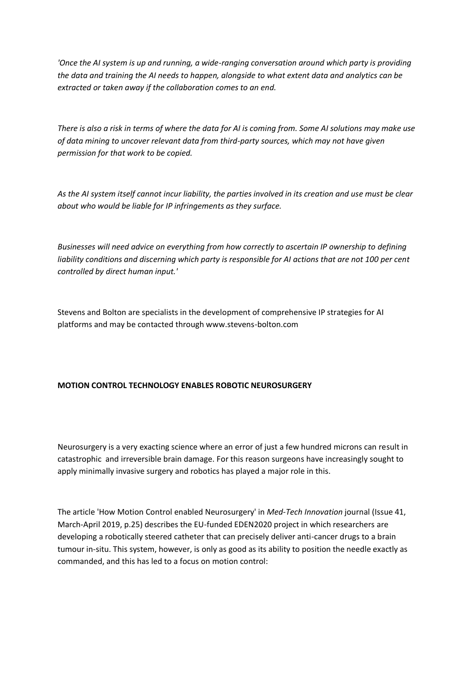'Once the AI system is up and running, a wide-ranging conversation around which party is providing *the data and training the AI needs to happen, alongside to what extent data and analytics can be extracted or taken away if the collaboration comes to an end.*

*There is also a risk in terms of where the data for AI is coming from. Some AI solutions may make use of data mining to uncover relevant data from third-party sources, which may not have given permission for that work to be copied.*

*As the AI system itself cannot incur liability, the parties involved in its creation and use must be clear about who would be liable for IP infringements as they surface.*

*Businesses will need advice on everything from how correctly to ascertain IP ownership to defining liability conditions and discerning which party is responsible for AI actions that are not 100 per cent controlled by direct human input.'*

Stevens and Bolton are specialists in the development of comprehensive IP strategies for AI platforms and may be contacted through www.stevens-bolton.com

## **MOTION CONTROL TECHNOLOGY ENABLES ROBOTIC NEUROSURGERY**

Neurosurgery is a very exacting science where an error of just a few hundred microns can result in catastrophic and irreversible brain damage. For this reason surgeons have increasingly sought to apply minimally invasive surgery and robotics has played a major role in this.

The article 'How Motion Control enabled Neurosurgery' in *Med-Tech Innovation* journal (Issue 41, March-April 2019, p.25) describes the EU-funded EDEN2020 project in which researchers are developing a robotically steered catheter that can precisely deliver anti-cancer drugs to a brain tumour in-situ. This system, however, is only as good as its ability to position the needle exactly as commanded, and this has led to a focus on motion control: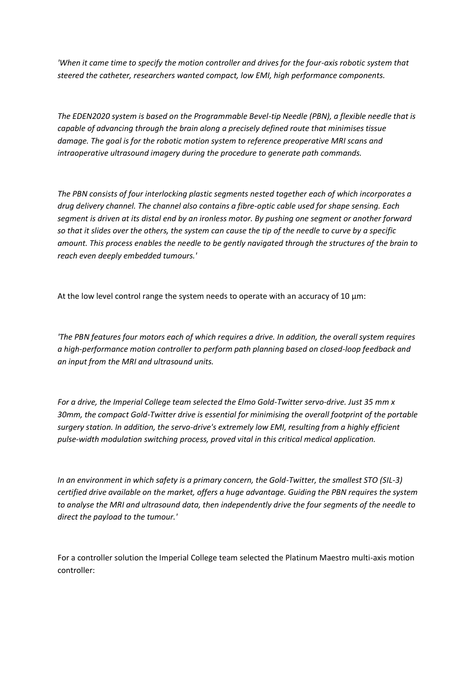*'When it came time to specify the motion controller and drives for the four-axis robotic system that steered the catheter, researchers wanted compact, low EMI, high performance components.*

*The EDEN2020 system is based on the Programmable Bevel-tip Needle (PBN), a flexible needle that is capable of advancing through the brain along a precisely defined route that minimises tissue damage. The goal is for the robotic motion system to reference preoperative MRI scans and intraoperative ultrasound imagery during the procedure to generate path commands.*

*The PBN consists of four interlocking plastic segments nested together each of which incorporates a drug delivery channel. The channel also contains a fibre-optic cable used for shape sensing. Each segment is driven at its distal end by an ironless motor. By pushing one segment or another forward so that it slides over the others, the system can cause the tip of the needle to curve by a specific amount. This process enables the needle to be gently navigated through the structures of the brain to reach even deeply embedded tumours.'*

At the low level control range the system needs to operate with an accuracy of 10  $\mu$ m:

*'The PBN features four motors each of which requires a drive. In addition, the overall system requires a high-performance motion controller to perform path planning based on closed-loop feedback and an input from the MRI and ultrasound units.*

*For a drive, the Imperial College team selected the Elmo Gold-Twitter servo-drive. Just 35 mm x 30mm, the compact Gold-Twitter drive is essential for minimising the overall footprint of the portable surgery station. In addition, the servo-drive's extremely low EMI, resulting from a highly efficient pulse-width modulation switching process, proved vital in this critical medical application.*

*In an environment in which safety is a primary concern, the Gold-Twitter, the smallest STO (SIL-3) certified drive available on the market, offers a huge advantage. Guiding the PBN requires the system to analyse the MRI and ultrasound data, then independently drive the four segments of the needle to direct the payload to the tumour.'*

For a controller solution the Imperial College team selected the Platinum Maestro multi-axis motion controller: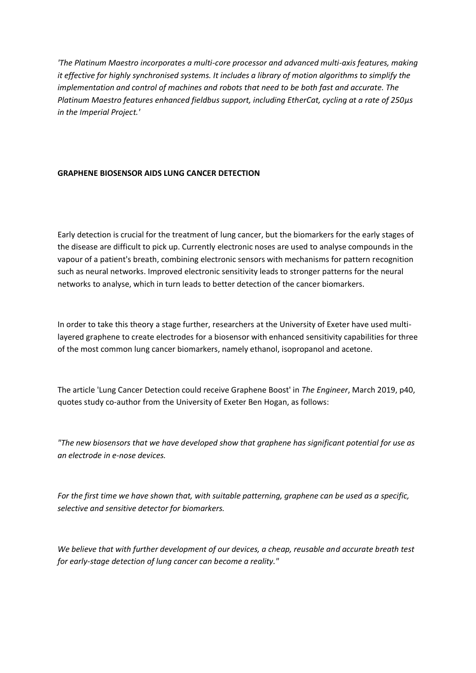*'The Platinum Maestro incorporates a multi-core processor and advanced multi-axis features, making it effective for highly synchronised systems. It includes a library of motion algorithms to simplify the implementation and control of machines and robots that need to be both fast and accurate. The Platinum Maestro features enhanced fieldbus support, including EtherCat, cycling at a rate of 250µs in the Imperial Project.'*

## **GRAPHENE BIOSENSOR AIDS LUNG CANCER DETECTION**

Early detection is crucial for the treatment of lung cancer, but the biomarkers for the early stages of the disease are difficult to pick up. Currently electronic noses are used to analyse compounds in the vapour of a patient's breath, combining electronic sensors with mechanisms for pattern recognition such as neural networks. Improved electronic sensitivity leads to stronger patterns for the neural networks to analyse, which in turn leads to better detection of the cancer biomarkers.

In order to take this theory a stage further, researchers at the University of Exeter have used multilayered graphene to create electrodes for a biosensor with enhanced sensitivity capabilities for three of the most common lung cancer biomarkers, namely ethanol, isopropanol and acetone.

The article 'Lung Cancer Detection could receive Graphene Boost' in *The Engineer*, March 2019, p40, quotes study co-author from the University of Exeter Ben Hogan, as follows:

*"The new biosensors that we have developed show that graphene has significant potential for use as an electrode in e-nose devices.*

*For the first time we have shown that, with suitable patterning, graphene can be used as a specific, selective and sensitive detector for biomarkers.*

*We believe that with further development of our devices, a cheap, reusable and accurate breath test for early-stage detection of lung cancer can become a reality."*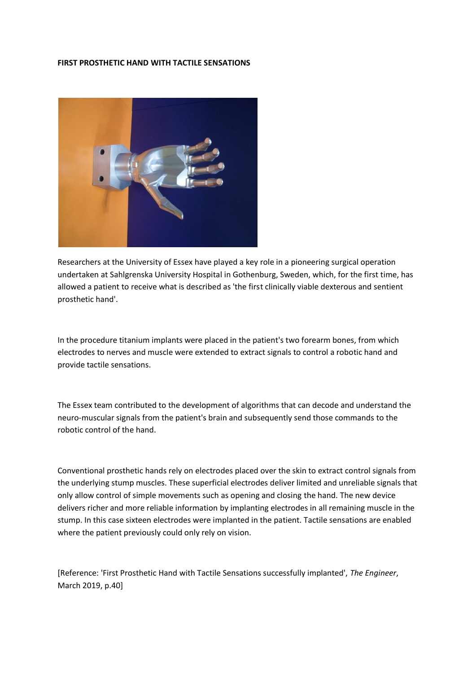### **FIRST PROSTHETIC HAND WITH TACTILE SENSATIONS**



Researchers at the University of Essex have played a key role in a pioneering surgical operation undertaken at Sahlgrenska University Hospital in Gothenburg, Sweden, which, for the first time, has allowed a patient to receive what is described as 'the first clinically viable dexterous and sentient prosthetic hand'.

In the procedure titanium implants were placed in the patient's two forearm bones, from which electrodes to nerves and muscle were extended to extract signals to control a robotic hand and provide tactile sensations.

The Essex team contributed to the development of algorithms that can decode and understand the neuro-muscular signals from the patient's brain and subsequently send those commands to the robotic control of the hand.

Conventional prosthetic hands rely on electrodes placed over the skin to extract control signals from the underlying stump muscles. These superficial electrodes deliver limited and unreliable signals that only allow control of simple movements such as opening and closing the hand. The new device delivers richer and more reliable information by implanting electrodes in all remaining muscle in the stump. In this case sixteen electrodes were implanted in the patient. Tactile sensations are enabled where the patient previously could only rely on vision.

[Reference: 'First Prosthetic Hand with Tactile Sensations successfully implanted', *The Engineer*, March 2019, p.40]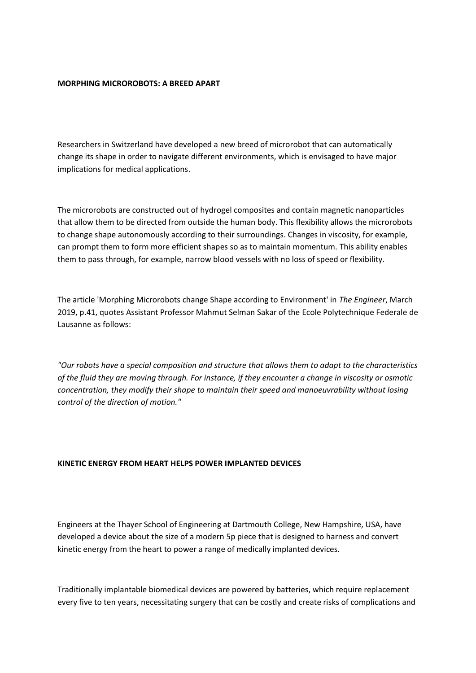### **MORPHING MICROROBOTS: A BREED APART**

Researchers in Switzerland have developed a new breed of microrobot that can automatically change its shape in order to navigate different environments, which is envisaged to have major implications for medical applications.

The microrobots are constructed out of hydrogel composites and contain magnetic nanoparticles that allow them to be directed from outside the human body. This flexibility allows the microrobots to change shape autonomously according to their surroundings. Changes in viscosity, for example, can prompt them to form more efficient shapes so as to maintain momentum. This ability enables them to pass through, for example, narrow blood vessels with no loss of speed or flexibility.

The article 'Morphing Microrobots change Shape according to Environment' in *The Engineer*, March 2019, p.41, quotes Assistant Professor Mahmut Selman Sakar of the Ecole Polytechnique Federale de Lausanne as follows:

*"Our robots have a special composition and structure that allows them to adapt to the characteristics of the fluid they are moving through. For instance, if they encounter a change in viscosity or osmotic concentration, they modify their shape to maintain their speed and manoeuvrability without losing control of the direction of motion."*

#### **KINETIC ENERGY FROM HEART HELPS POWER IMPLANTED DEVICES**

Engineers at the Thayer School of Engineering at Dartmouth College, New Hampshire, USA, have developed a device about the size of a modern 5p piece that is designed to harness and convert kinetic energy from the heart to power a range of medically implanted devices.

Traditionally implantable biomedical devices are powered by batteries, which require replacement every five to ten years, necessitating surgery that can be costly and create risks of complications and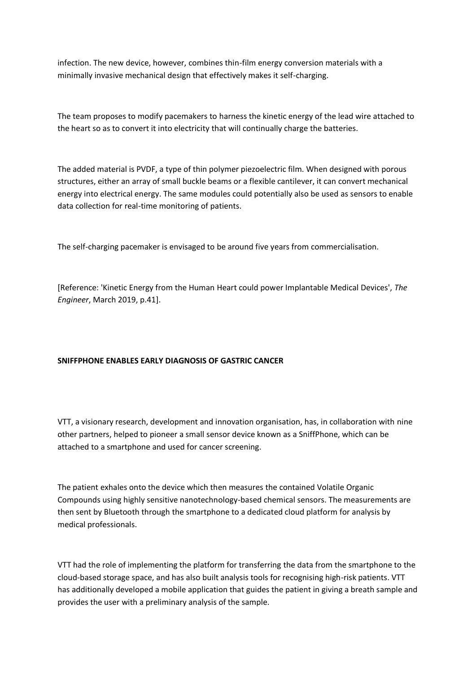infection. The new device, however, combines thin-film energy conversion materials with a minimally invasive mechanical design that effectively makes it self-charging.

The team proposes to modify pacemakers to harness the kinetic energy of the lead wire attached to the heart so as to convert it into electricity that will continually charge the batteries.

The added material is PVDF, a type of thin polymer piezoelectric film. When designed with porous structures, either an array of small buckle beams or a flexible cantilever, it can convert mechanical energy into electrical energy. The same modules could potentially also be used as sensors to enable data collection for real-time monitoring of patients.

The self-charging pacemaker is envisaged to be around five years from commercialisation.

[Reference: 'Kinetic Energy from the Human Heart could power Implantable Medical Devices', *The Engineer*, March 2019, p.41].

# **SNIFFPHONE ENABLES EARLY DIAGNOSIS OF GASTRIC CANCER**

VTT, a visionary research, development and innovation organisation, has, in collaboration with nine other partners, helped to pioneer a small sensor device known as a SniffPhone, which can be attached to a smartphone and used for cancer screening.

The patient exhales onto the device which then measures the contained Volatile Organic Compounds using highly sensitive nanotechnology-based chemical sensors. The measurements are then sent by Bluetooth through the smartphone to a dedicated cloud platform for analysis by medical professionals.

VTT had the role of implementing the platform for transferring the data from the smartphone to the cloud-based storage space, and has also built analysis tools for recognising high-risk patients. VTT has additionally developed a mobile application that guides the patient in giving a breath sample and provides the user with a preliminary analysis of the sample.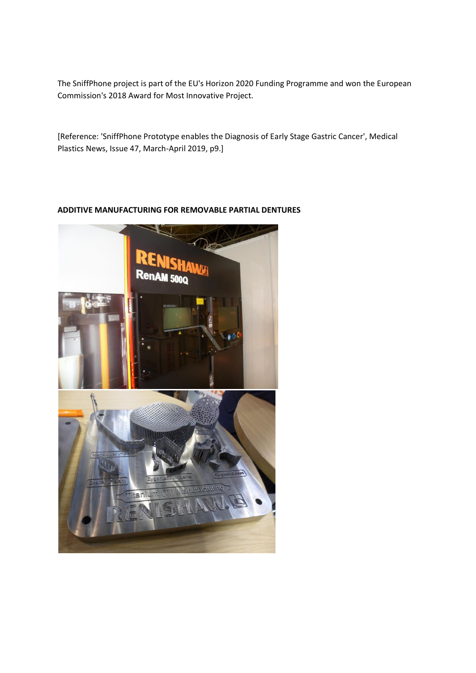The SniffPhone project is part of the EU's Horizon 2020 Funding Programme and won the European Commission's 2018 Award for Most Innovative Project.

[Reference: 'SniffPhone Prototype enables the Diagnosis of Early Stage Gastric Cancer', Medical Plastics News, Issue 47, March-April 2019, p9.]

# **ADDITIVE MANUFACTURING FOR REMOVABLE PARTIAL DENTURES**

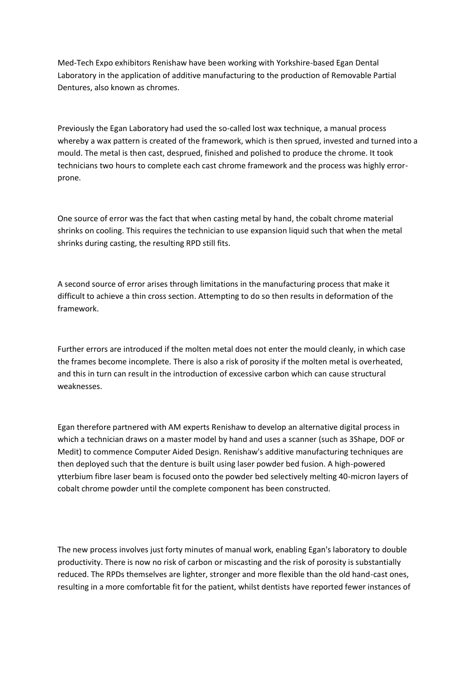Med-Tech Expo exhibitors Renishaw have been working with Yorkshire-based Egan Dental Laboratory in the application of additive manufacturing to the production of Removable Partial Dentures, also known as chromes.

Previously the Egan Laboratory had used the so-called lost wax technique, a manual process whereby a wax pattern is created of the framework, which is then sprued, invested and turned into a mould. The metal is then cast, desprued, finished and polished to produce the chrome. It took technicians two hours to complete each cast chrome framework and the process was highly errorprone.

One source of error was the fact that when casting metal by hand, the cobalt chrome material shrinks on cooling. This requires the technician to use expansion liquid such that when the metal shrinks during casting, the resulting RPD still fits.

A second source of error arises through limitations in the manufacturing process that make it difficult to achieve a thin cross section. Attempting to do so then results in deformation of the framework.

Further errors are introduced if the molten metal does not enter the mould cleanly, in which case the frames become incomplete. There is also a risk of porosity if the molten metal is overheated, and this in turn can result in the introduction of excessive carbon which can cause structural weaknesses.

Egan therefore partnered with AM experts Renishaw to develop an alternative digital process in which a technician draws on a master model by hand and uses a scanner (such as 3Shape, DOF or Medit) to commence Computer Aided Design. Renishaw's additive manufacturing techniques are then deployed such that the denture is built using laser powder bed fusion. A high-powered ytterbium fibre laser beam is focused onto the powder bed selectively melting 40-micron layers of cobalt chrome powder until the complete component has been constructed.

The new process involves just forty minutes of manual work, enabling Egan's laboratory to double productivity. There is now no risk of carbon or miscasting and the risk of porosity is substantially reduced. The RPDs themselves are lighter, stronger and more flexible than the old hand-cast ones, resulting in a more comfortable fit for the patient, whilst dentists have reported fewer instances of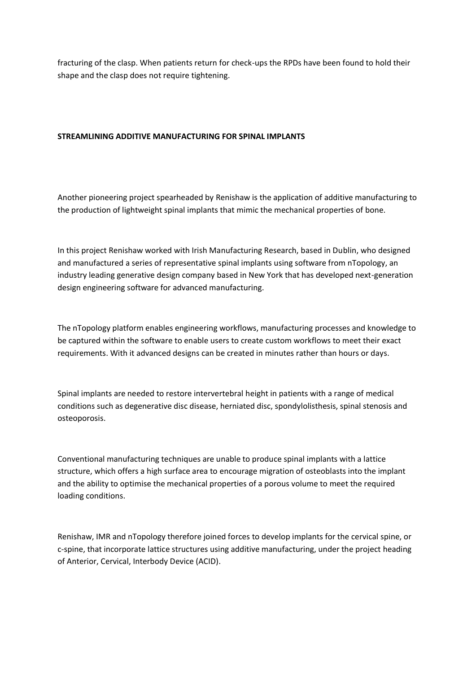fracturing of the clasp. When patients return for check-ups the RPDs have been found to hold their shape and the clasp does not require tightening.

## **STREAMLINING ADDITIVE MANUFACTURING FOR SPINAL IMPLANTS**

Another pioneering project spearheaded by Renishaw is the application of additive manufacturing to the production of lightweight spinal implants that mimic the mechanical properties of bone.

In this project Renishaw worked with Irish Manufacturing Research, based in Dublin, who designed and manufactured a series of representative spinal implants using software from nTopology, an industry leading generative design company based in New York that has developed next-generation design engineering software for advanced manufacturing.

The nTopology platform enables engineering workflows, manufacturing processes and knowledge to be captured within the software to enable users to create custom workflows to meet their exact requirements. With it advanced designs can be created in minutes rather than hours or days.

Spinal implants are needed to restore intervertebral height in patients with a range of medical conditions such as degenerative disc disease, herniated disc, spondylolisthesis, spinal stenosis and osteoporosis.

Conventional manufacturing techniques are unable to produce spinal implants with a lattice structure, which offers a high surface area to encourage migration of osteoblasts into the implant and the ability to optimise the mechanical properties of a porous volume to meet the required loading conditions.

Renishaw, IMR and nTopology therefore joined forces to develop implants for the cervical spine, or c-spine, that incorporate lattice structures using additive manufacturing, under the project heading of Anterior, Cervical, Interbody Device (ACID).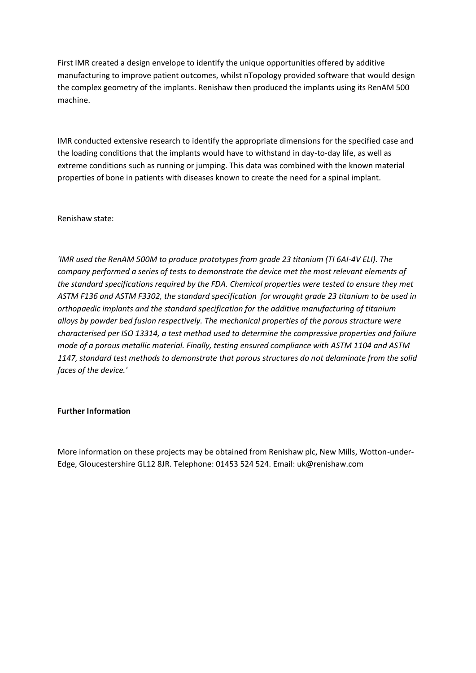First IMR created a design envelope to identify the unique opportunities offered by additive manufacturing to improve patient outcomes, whilst nTopology provided software that would design the complex geometry of the implants. Renishaw then produced the implants using its RenAM 500 machine.

IMR conducted extensive research to identify the appropriate dimensions for the specified case and the loading conditions that the implants would have to withstand in day-to-day life, as well as extreme conditions such as running or jumping. This data was combined with the known material properties of bone in patients with diseases known to create the need for a spinal implant.

Renishaw state:

*'IMR used the RenAM 500M to produce prototypes from grade 23 titanium (TI 6AI-4V ELI). The company performed a series of tests to demonstrate the device met the most relevant elements of the standard specifications required by the FDA. Chemical properties were tested to ensure they met ASTM F136 and ASTM F3302, the standard specification for wrought grade 23 titanium to be used in orthopaedic implants and the standard specification for the additive manufacturing of titanium alloys by powder bed fusion respectively. The mechanical properties of the porous structure were characterised per ISO 13314, a test method used to determine the compressive properties and failure mode of a porous metallic material. Finally, testing ensured compliance with ASTM 1104 and ASTM 1147, standard test methods to demonstrate that porous structures do not delaminate from the solid faces of the device.'*

## **Further Information**

More information on these projects may be obtained from Renishaw plc, New Mills, Wotton-under-Edge, Gloucestershire GL12 8JR. Telephone: 01453 524 524. Email: uk@renishaw.com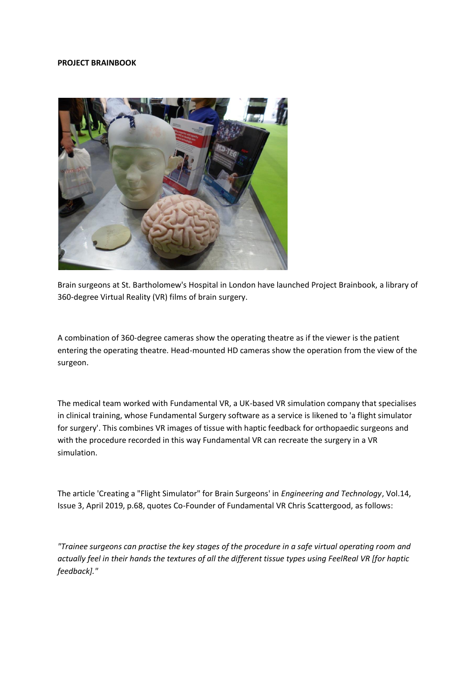#### **PROJECT BRAINBOOK**



Brain surgeons at St. Bartholomew's Hospital in London have launched Project Brainbook, a library of 360-degree Virtual Reality (VR) films of brain surgery.

A combination of 360-degree cameras show the operating theatre as if the viewer is the patient entering the operating theatre. Head-mounted HD cameras show the operation from the view of the surgeon.

The medical team worked with Fundamental VR, a UK-based VR simulation company that specialises in clinical training, whose Fundamental Surgery software as a service is likened to 'a flight simulator for surgery'. This combines VR images of tissue with haptic feedback for orthopaedic surgeons and with the procedure recorded in this way Fundamental VR can recreate the surgery in a VR simulation.

The article 'Creating a "Flight Simulator" for Brain Surgeons' in *Engineering and Technology*, Vol.14, Issue 3, April 2019, p.68, quotes Co-Founder of Fundamental VR Chris Scattergood, as follows:

*"Trainee surgeons can practise the key stages of the procedure in a safe virtual operating room and actually feel in their hands the textures of all the different tissue types using FeelReal VR [for haptic feedback]."*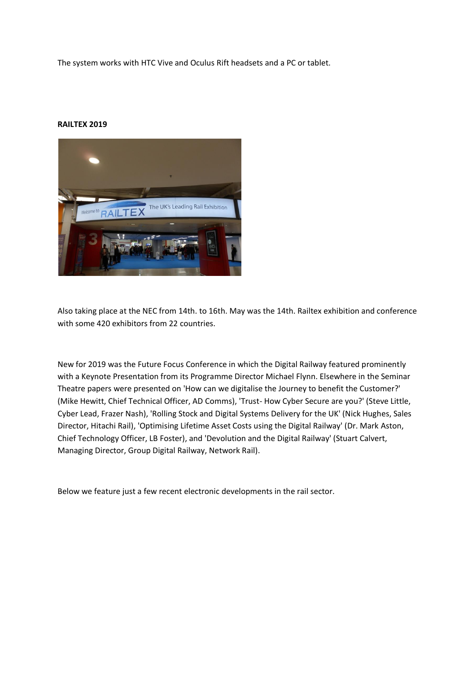The system works with HTC Vive and Oculus Rift headsets and a PC or tablet.

### **RAILTEX 2019**



Also taking place at the NEC from 14th. to 16th. May was the 14th. Railtex exhibition and conference with some 420 exhibitors from 22 countries.

New for 2019 was the Future Focus Conference in which the Digital Railway featured prominently with a Keynote Presentation from its Programme Director Michael Flynn. Elsewhere in the Seminar Theatre papers were presented on 'How can we digitalise the Journey to benefit the Customer?' (Mike Hewitt, Chief Technical Officer, AD Comms), 'Trust- How Cyber Secure are you?' (Steve Little, Cyber Lead, Frazer Nash), 'Rolling Stock and Digital Systems Delivery for the UK' (Nick Hughes, Sales Director, Hitachi Rail), 'Optimising Lifetime Asset Costs using the Digital Railway' (Dr. Mark Aston, Chief Technology Officer, LB Foster), and 'Devolution and the Digital Railway' (Stuart Calvert, Managing Director, Group Digital Railway, Network Rail).

Below we feature just a few recent electronic developments in the rail sector.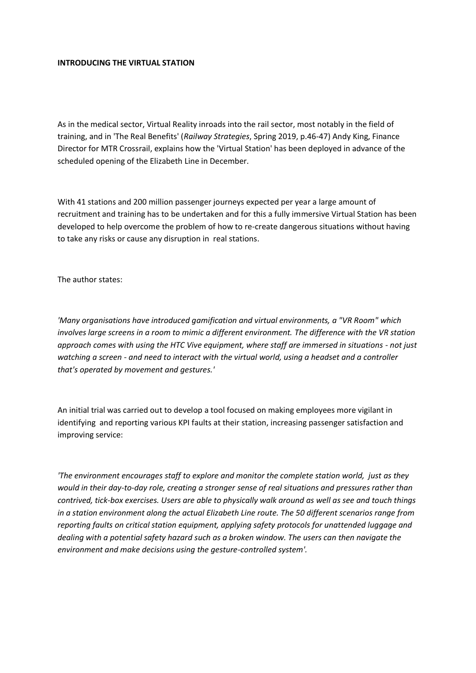### **INTRODUCING THE VIRTUAL STATION**

As in the medical sector, Virtual Reality inroads into the rail sector, most notably in the field of training, and in 'The Real Benefits' (*Railway Strategies*, Spring 2019, p.46-47) Andy King, Finance Director for MTR Crossrail, explains how the 'Virtual Station' has been deployed in advance of the scheduled opening of the Elizabeth Line in December.

With 41 stations and 200 million passenger journeys expected per year a large amount of recruitment and training has to be undertaken and for this a fully immersive Virtual Station has been developed to help overcome the problem of how to re-create dangerous situations without having to take any risks or cause any disruption in real stations.

The author states:

*'Many organisations have introduced gamification and virtual environments, a "VR Room" which involves large screens in a room to mimic a different environment. The difference with the VR station approach comes with using the HTC Vive equipment, where staff are immersed in situations - not just watching a screen - and need to interact with the virtual world, using a headset and a controller that's operated by movement and gestures.'*

An initial trial was carried out to develop a tool focused on making employees more vigilant in identifying and reporting various KPI faults at their station, increasing passenger satisfaction and improving service:

*'The environment encourages staff to explore and monitor the complete station world, just as they would in their day-to-day role, creating a stronger sense of real situations and pressures rather than contrived, tick-box exercises. Users are able to physically walk around as well as see and touch things in a station environment along the actual Elizabeth Line route. The 50 different scenarios range from reporting faults on critical station equipment, applying safety protocols for unattended luggage and dealing with a potential safety hazard such as a broken window. The users can then navigate the environment and make decisions using the gesture-controlled system'.*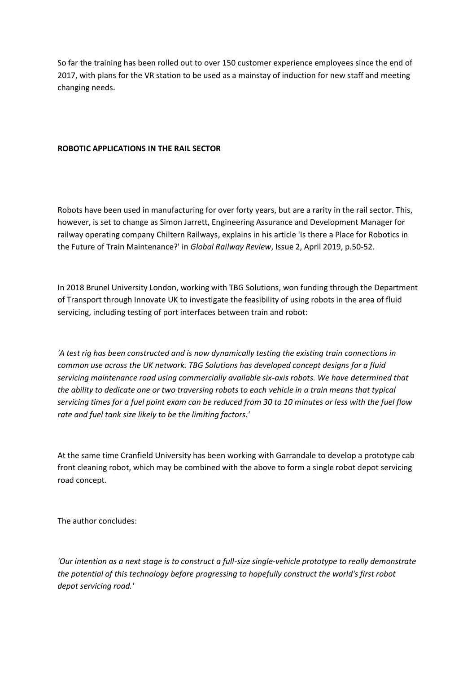So far the training has been rolled out to over 150 customer experience employees since the end of 2017, with plans for the VR station to be used as a mainstay of induction for new staff and meeting changing needs.

## **ROBOTIC APPLICATIONS IN THE RAIL SECTOR**

Robots have been used in manufacturing for over forty years, but are a rarity in the rail sector. This, however, is set to change as Simon Jarrett, Engineering Assurance and Development Manager for railway operating company Chiltern Railways, explains in his article 'Is there a Place for Robotics in the Future of Train Maintenance?' in *Global Railway Review*, Issue 2, April 2019, p.50-52.

In 2018 Brunel University London, working with TBG Solutions, won funding through the Department of Transport through Innovate UK to investigate the feasibility of using robots in the area of fluid servicing, including testing of port interfaces between train and robot:

*'A test rig has been constructed and is now dynamically testing the existing train connections in common use across the UK network. TBG Solutions has developed concept designs for a fluid servicing maintenance road using commercially available six-axis robots. We have determined that the ability to dedicate one or two traversing robots to each vehicle in a train means that typical servicing times for a fuel point exam can be reduced from 30 to 10 minutes or less with the fuel flow rate and fuel tank size likely to be the limiting factors.'*

At the same time Cranfield University has been working with Garrandale to develop a prototype cab front cleaning robot, which may be combined with the above to form a single robot depot servicing road concept.

The author concludes:

*'Our intention as a next stage is to construct a full-size single-vehicle prototype to really demonstrate the potential of this technology before progressing to hopefully construct the world's first robot depot servicing road.'*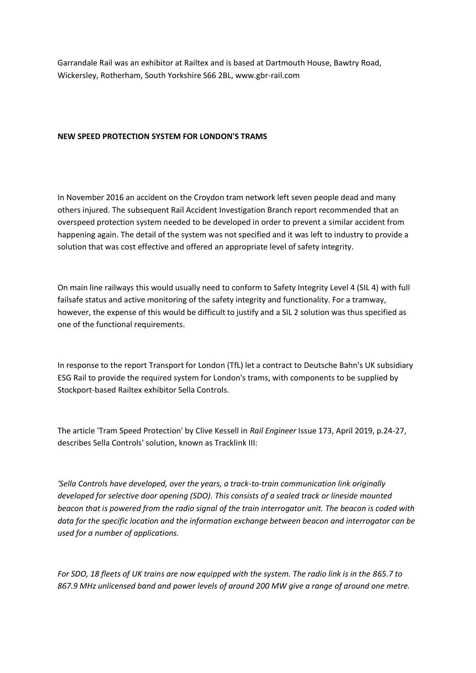Garrandale Rail was an exhibitor at Railtex and is based at Dartmouth House, Bawtry Road, Wickersley, Rotherham, South Yorkshire S66 2BL, www.gbr-rail.com

## **NEW SPEED PROTECTION SYSTEM FOR LONDON'S TRAMS**

In November 2016 an accident on the Croydon tram network left seven people dead and many others injured. The subsequent Rail Accident Investigation Branch report recommended that an overspeed protection system needed to be developed in order to prevent a similar accident from happening again. The detail of the system was not specified and it was left to industry to provide a solution that was cost effective and offered an appropriate level of safety integrity.

On main line railways this would usually need to conform to Safety Integrity Level 4 (SIL 4) with full failsafe status and active monitoring of the safety integrity and functionality. For a tramway, however, the expense of this would be difficult to justify and a SIL 2 solution was thus specified as one of the functional requirements.

In response to the report Transport for London (TfL) let a contract to Deutsche Bahn's UK subsidiary ESG Rail to provide the required system for London's trams, with components to be supplied by Stockport-based Railtex exhibitor Sella Controls.

The article 'Tram Speed Protection' by Clive Kessell in *Rail Engineer* Issue 173, April 2019, p.24-27, describes Sella Controls' solution, known as Tracklink III:

*'Sella Controls have developed, over the years, a track-to-train communication link originally developed for selective door opening (SDO). This consists of a sealed track or lineside mounted beacon that is powered from the radio signal of the train interrogator unit. The beacon is coded with data for the specific location and the information exchange between beacon and interrogator can be used for a number of applications.*

*For SDO, 18 fleets of UK trains are now equipped with the system. The radio link is in the 865.7 to 867.9 MHz unlicensed band and power levels of around 200 MW give a range of around one metre.*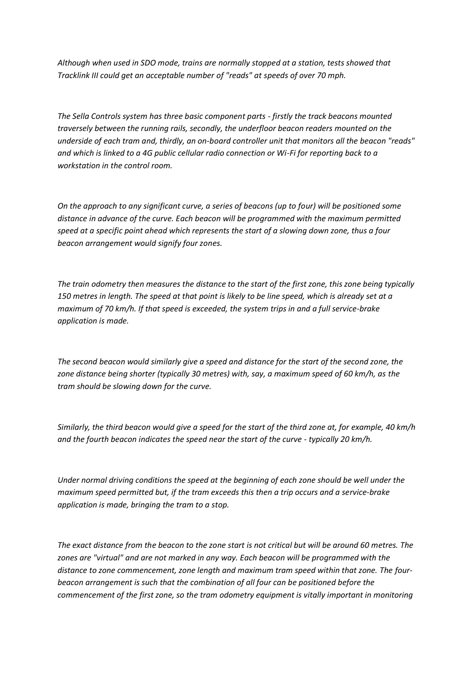*Although when used in SDO mode, trains are normally stopped at a station, tests showed that Tracklink III could get an acceptable number of "reads" at speeds of over 70 mph.*

*The Sella Controls system has three basic component parts - firstly the track beacons mounted traversely between the running rails, secondly, the underfloor beacon readers mounted on the underside of each tram and, thirdly, an on-board controller unit that monitors all the beacon "reads" and which is linked to a 4G public cellular radio connection or Wi-Fi for reporting back to a workstation in the control room.*

*On the approach to any significant curve, a series of beacons (up to four) will be positioned some distance in advance of the curve. Each beacon will be programmed with the maximum permitted speed at a specific point ahead which represents the start of a slowing down zone, thus a four beacon arrangement would signify four zones.*

*The train odometry then measures the distance to the start of the first zone, this zone being typically 150 metres in length. The speed at that point is likely to be line speed, which is already set at a maximum of 70 km/h. If that speed is exceeded, the system trips in and a full service-brake application is made.*

*The second beacon would similarly give a speed and distance for the start of the second zone, the zone distance being shorter (typically 30 metres) with, say, a maximum speed of 60 km/h, as the tram should be slowing down for the curve.*

*Similarly, the third beacon would give a speed for the start of the third zone at, for example, 40 km/h and the fourth beacon indicates the speed near the start of the curve - typically 20 km/h.*

*Under normal driving conditions the speed at the beginning of each zone should be well under the maximum speed permitted but, if the tram exceeds this then a trip occurs and a service-brake application is made, bringing the tram to a stop.*

*The exact distance from the beacon to the zone start is not critical but will be around 60 metres. The zones are "virtual" and are not marked in any way. Each beacon will be programmed with the distance to zone commencement, zone length and maximum tram speed within that zone. The fourbeacon arrangement is such that the combination of all four can be positioned before the commencement of the first zone, so the tram odometry equipment is vitally important in monitoring*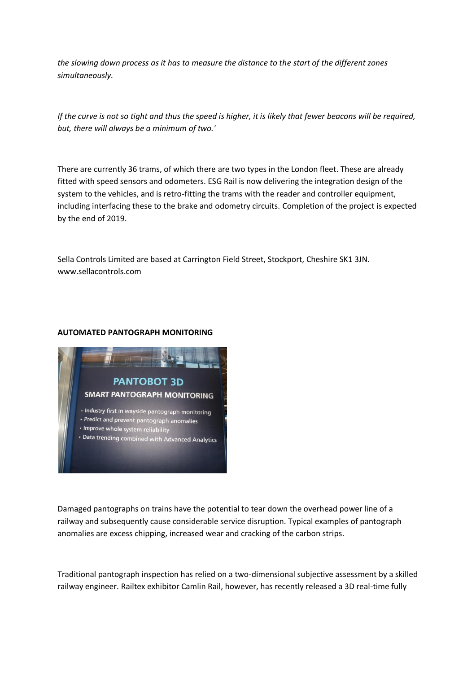*the slowing down process as it has to measure the distance to the start of the different zones simultaneously.*

*If the curve is not so tight and thus the speed is higher, it is likely that fewer beacons will be required, but, there will always be a minimum of two.'*

There are currently 36 trams, of which there are two types in the London fleet. These are already fitted with speed sensors and odometers. ESG Rail is now delivering the integration design of the system to the vehicles, and is retro-fitting the trams with the reader and controller equipment, including interfacing these to the brake and odometry circuits. Completion of the project is expected by the end of 2019.

Sella Controls Limited are based at Carrington Field Street, Stockport, Cheshire SK1 3JN. www.sellacontrols.com

### **AUTOMATED PANTOGRAPH MONITORING**



Damaged pantographs on trains have the potential to tear down the overhead power line of a railway and subsequently cause considerable service disruption. Typical examples of pantograph anomalies are excess chipping, increased wear and cracking of the carbon strips.

Traditional pantograph inspection has relied on a two-dimensional subjective assessment by a skilled railway engineer. Railtex exhibitor Camlin Rail, however, has recently released a 3D real-time fully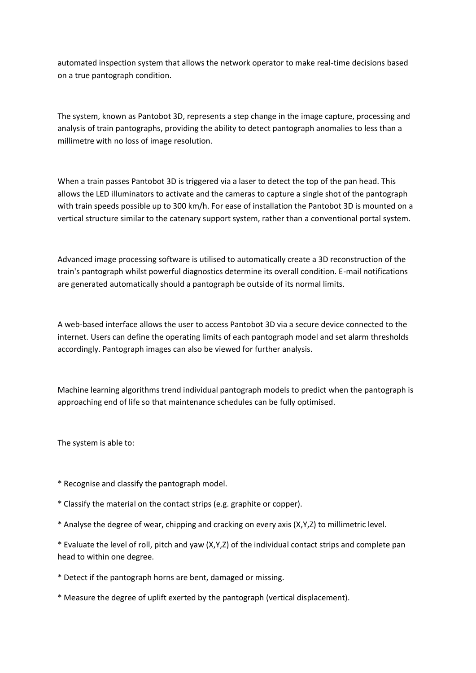automated inspection system that allows the network operator to make real-time decisions based on a true pantograph condition.

The system, known as Pantobot 3D, represents a step change in the image capture, processing and analysis of train pantographs, providing the ability to detect pantograph anomalies to less than a millimetre with no loss of image resolution.

When a train passes Pantobot 3D is triggered via a laser to detect the top of the pan head. This allows the LED illuminators to activate and the cameras to capture a single shot of the pantograph with train speeds possible up to 300 km/h. For ease of installation the Pantobot 3D is mounted on a vertical structure similar to the catenary support system, rather than a conventional portal system.

Advanced image processing software is utilised to automatically create a 3D reconstruction of the train's pantograph whilst powerful diagnostics determine its overall condition. E-mail notifications are generated automatically should a pantograph be outside of its normal limits.

A web-based interface allows the user to access Pantobot 3D via a secure device connected to the internet. Users can define the operating limits of each pantograph model and set alarm thresholds accordingly. Pantograph images can also be viewed for further analysis.

Machine learning algorithms trend individual pantograph models to predict when the pantograph is approaching end of life so that maintenance schedules can be fully optimised.

The system is able to:

- \* Recognise and classify the pantograph model.
- \* Classify the material on the contact strips (e.g. graphite or copper).
- \* Analyse the degree of wear, chipping and cracking on every axis (X,Y,Z) to millimetric level.

\* Evaluate the level of roll, pitch and yaw (X,Y,Z) of the individual contact strips and complete pan head to within one degree.

- \* Detect if the pantograph horns are bent, damaged or missing.
- \* Measure the degree of uplift exerted by the pantograph (vertical displacement).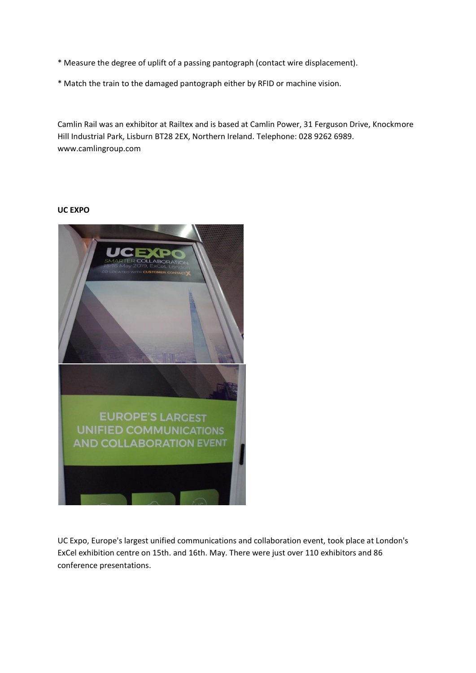- \* Measure the degree of uplift of a passing pantograph (contact wire displacement).
- \* Match the train to the damaged pantograph either by RFID or machine vision.

Camlin Rail was an exhibitor at Railtex and is based at Camlin Power, 31 Ferguson Drive, Knockmore Hill Industrial Park, Lisburn BT28 2EX, Northern Ireland. Telephone: 028 9262 6989. www.camlingroup.com

## **UC EXPO**



UC Expo, Europe's largest unified communications and collaboration event, took place at London's ExCel exhibition centre on 15th. and 16th. May. There were just over 110 exhibitors and 86 conference presentations.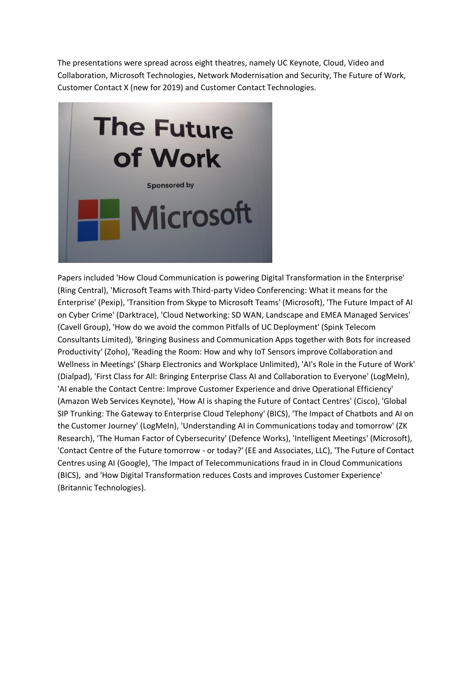The presentations were spread across eight theatres, namely UC Keynote, Cloud, Video and Collaboration, Microsoft Technologies, Network Modernisation and Security, The Future of Work, Customer Contact X (new for 2019) and Customer Contact Technologies.



Papers included 'How Cloud Communication is powering Digital Transformation in the Enterprise' (Ring Central), 'Microsoft Teams with Third-party Video Conferencing: What it means for the Enterprise' (Pexip), 'Transition from Skype to Microsoft Teams' (Microsoft), 'The Future Impact of AI on Cyber Crime' (Darktrace), 'Cloud Networking: SD WAN, Landscape and EMEA Managed Services' (Cavell Group), 'How do we avoid the common Pitfalls of UC Deployment' (Spink Telecom Consultants Limited), 'Bringing Business and Communication Apps together with Bots for increased Productivity' (Zoho), 'Reading the Room: How and why IoT Sensors improve Collaboration and Wellness in Meetings' (Sharp Electronics and Workplace Unlimited), 'AI's Role in the Future of Work' (Dialpad), 'First Class for All: Bringing Enterprise Class AI and Collaboration to Everyone' (LogMeIn), 'AI enable the Contact Centre: Improve Customer Experience and drive Operational Efficiency' (Amazon Web Services Keynote), 'How AI is shaping the Future of Contact Centres' (Cisco), 'Global SIP Trunking: The Gateway to Enterprise Cloud Telephony' (BICS), 'The Impact of Chatbots and AI on the Customer Journey' (LogMeIn), 'Understanding AI in Communications today and tomorrow' (ZK Research), 'The Human Factor of Cybersecurity' (Defence Works), 'Intelligent Meetings' (Microsoft), 'Contact Centre of the Future tomorrow - or today?' (EE and Associates, LLC), 'The Future of Contact Centres using AI (Google), 'The Impact of Telecommunications fraud in in Cloud Communications (BICS), and 'How Digital Transformation reduces Costs and improves Customer Experience' (Britannic Technologies).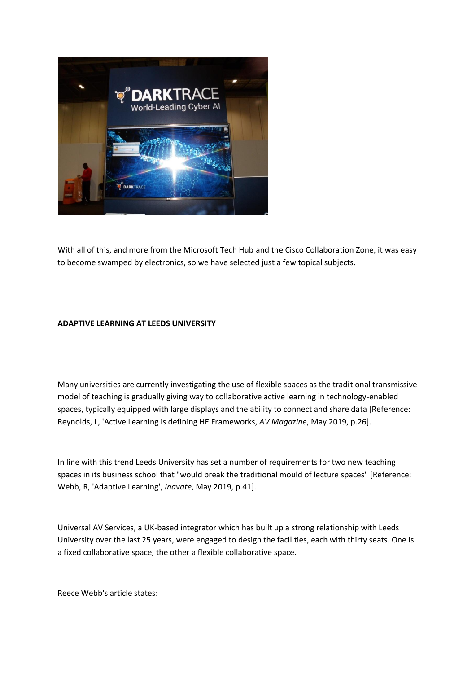

With all of this, and more from the Microsoft Tech Hub and the Cisco Collaboration Zone, it was easy to become swamped by electronics, so we have selected just a few topical subjects.

# **ADAPTIVE LEARNING AT LEEDS UNIVERSITY**

Many universities are currently investigating the use of flexible spaces as the traditional transmissive model of teaching is gradually giving way to collaborative active learning in technology-enabled spaces, typically equipped with large displays and the ability to connect and share data [Reference: Reynolds, L, 'Active Learning is defining HE Frameworks, *AV Magazine*, May 2019, p.26].

In line with this trend Leeds University has set a number of requirements for two new teaching spaces in its business school that "would break the traditional mould of lecture spaces" [Reference: Webb, R, 'Adaptive Learning', *Inavate*, May 2019, p.41].

Universal AV Services, a UK-based integrator which has built up a strong relationship with Leeds University over the last 25 years, were engaged to design the facilities, each with thirty seats. One is a fixed collaborative space, the other a flexible collaborative space.

Reece Webb's article states: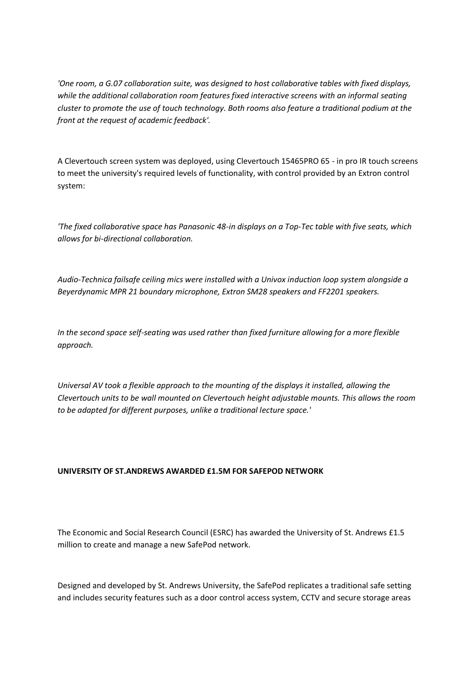*'One room, a G.07 collaboration suite, was designed to host collaborative tables with fixed displays, while the additional collaboration room features fixed interactive screens with an informal seating cluster to promote the use of touch technology. Both rooms also feature a traditional podium at the front at the request of academic feedback'.*

A Clevertouch screen system was deployed, using Clevertouch 15465PRO 65 - in pro IR touch screens to meet the university's required levels of functionality, with control provided by an Extron control system:

*'The fixed collaborative space has Panasonic 48-in displays on a Top-Tec table with five seats, which allows for bi-directional collaboration.*

*Audio-Technica failsafe ceiling mics were installed with a Univox induction loop system alongside a Beyerdynamic MPR 21 boundary microphone, Extron SM28 speakers and FF2201 speakers.*

*In the second space self-seating was used rather than fixed furniture allowing for a more flexible approach.*

*Universal AV took a flexible approach to the mounting of the displays it installed, allowing the Clevertouch units to be wall mounted on Clevertouch height adjustable mounts. This allows the room to be adapted for different purposes, unlike a traditional lecture space.'*

# **UNIVERSITY OF ST.ANDREWS AWARDED £1.5M FOR SAFEPOD NETWORK**

The Economic and Social Research Council (ESRC) has awarded the University of St. Andrews £1.5 million to create and manage a new SafePod network.

Designed and developed by St. Andrews University, the SafePod replicates a traditional safe setting and includes security features such as a door control access system, CCTV and secure storage areas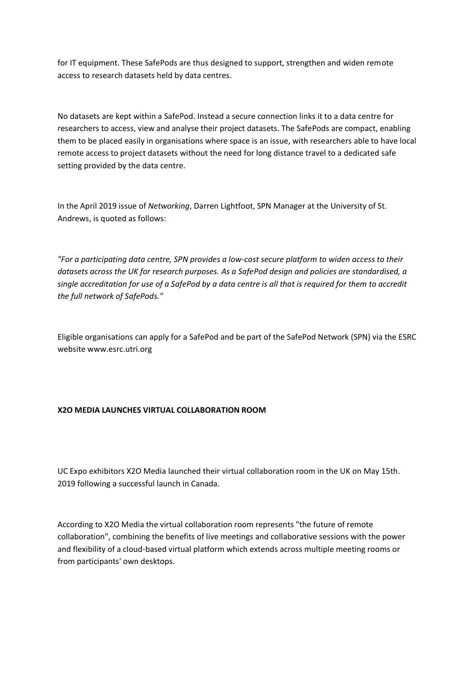for IT equipment. These SafePods are thus designed to support, strengthen and widen remote access to research datasets held by data centres.

No datasets are kept within a SafePod. Instead a secure connection links it to a data centre for researchers to access, view and analyse their project datasets. The SafePods are compact, enabling them to be placed easily in organisations where space is an issue, with researchers able to have local remote access to project datasets without the need for long distance travel to a dedicated safe setting provided by the data centre.

In the April 2019 issue of *Networking*, Darren Lightfoot, SPN Manager at the University of St. Andrews, is quoted as follows:

*"For a participating data centre, SPN provides a low-cost secure platform to widen access to their datasets across the UK for research purposes. As a SafePod design and policies are standardised, a single accreditation for use of a SafePod by a data centre is all that is required for them to accredit the full network of SafePods."*

Eligible organisations can apply for a SafePod and be part of the SafePod Network (SPN) via the ESRC website www.esrc.utri.org

## **X2O MEDIA LAUNCHES VIRTUAL COLLABORATION ROOM**

UC Expo exhibitors X2O Media launched their virtual collaboration room in the UK on May 15th. 2019 following a successful launch in Canada.

According to X2O Media the virtual collaboration room represents "the future of remote collaboration", combining the benefits of live meetings and collaborative sessions with the power and flexibility of a cloud-based virtual platform which extends across multiple meeting rooms or from participants' own desktops.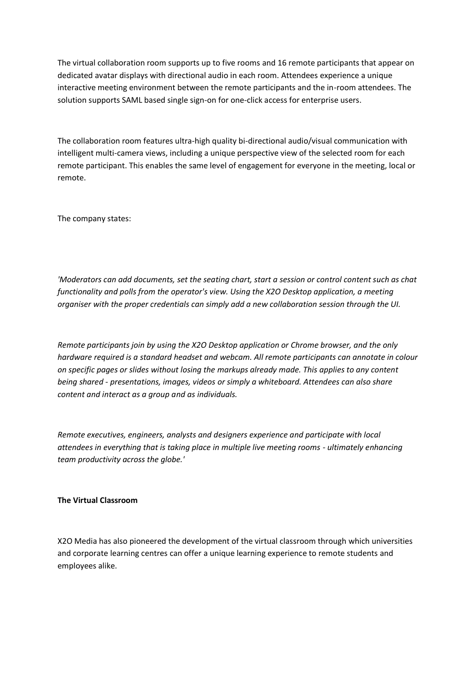The virtual collaboration room supports up to five rooms and 16 remote participants that appear on dedicated avatar displays with directional audio in each room. Attendees experience a unique interactive meeting environment between the remote participants and the in-room attendees. The solution supports SAML based single sign-on for one-click access for enterprise users.

The collaboration room features ultra-high quality bi-directional audio/visual communication with intelligent multi-camera views, including a unique perspective view of the selected room for each remote participant. This enables the same level of engagement for everyone in the meeting, local or remote.

The company states:

*'Moderators can add documents, set the seating chart, start a session or control content such as chat functionality and polls from the operator's view. Using the X2O Desktop application, a meeting organiser with the proper credentials can simply add a new collaboration session through the UI.*

*Remote participants join by using the X2O Desktop application or Chrome browser, and the only hardware required is a standard headset and webcam. All remote participants can annotate in colour on specific pages or slides without losing the markups already made. This applies to any content being shared - presentations, images, videos or simply a whiteboard. Attendees can also share content and interact as a group and as individuals.*

*Remote executives, engineers, analysts and designers experience and participate with local attendees in everything that is taking place in multiple live meeting rooms - ultimately enhancing team productivity across the globe.'*

## **The Virtual Classroom**

X2O Media has also pioneered the development of the virtual classroom through which universities and corporate learning centres can offer a unique learning experience to remote students and employees alike.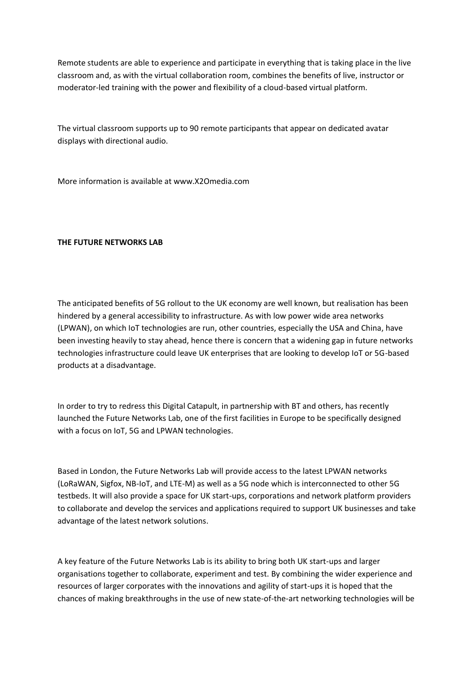Remote students are able to experience and participate in everything that is taking place in the live classroom and, as with the virtual collaboration room, combines the benefits of live, instructor or moderator-led training with the power and flexibility of a cloud-based virtual platform.

The virtual classroom supports up to 90 remote participants that appear on dedicated avatar displays with directional audio.

More information is available at www.X2Omedia.com

## **THE FUTURE NETWORKS LAB**

The anticipated benefits of 5G rollout to the UK economy are well known, but realisation has been hindered by a general accessibility to infrastructure. As with low power wide area networks (LPWAN), on which IoT technologies are run, other countries, especially the USA and China, have been investing heavily to stay ahead, hence there is concern that a widening gap in future networks technologies infrastructure could leave UK enterprises that are looking to develop IoT or 5G-based products at a disadvantage.

In order to try to redress this Digital Catapult, in partnership with BT and others, has recently launched the Future Networks Lab, one of the first facilities in Europe to be specifically designed with a focus on IoT, 5G and LPWAN technologies.

Based in London, the Future Networks Lab will provide access to the latest LPWAN networks (LoRaWAN, Sigfox, NB-IoT, and LTE-M) as well as a 5G node which is interconnected to other 5G testbeds. It will also provide a space for UK start-ups, corporations and network platform providers to collaborate and develop the services and applications required to support UK businesses and take advantage of the latest network solutions.

A key feature of the Future Networks Lab is its ability to bring both UK start-ups and larger organisations together to collaborate, experiment and test. By combining the wider experience and resources of larger corporates with the innovations and agility of start-ups it is hoped that the chances of making breakthroughs in the use of new state-of-the-art networking technologies will be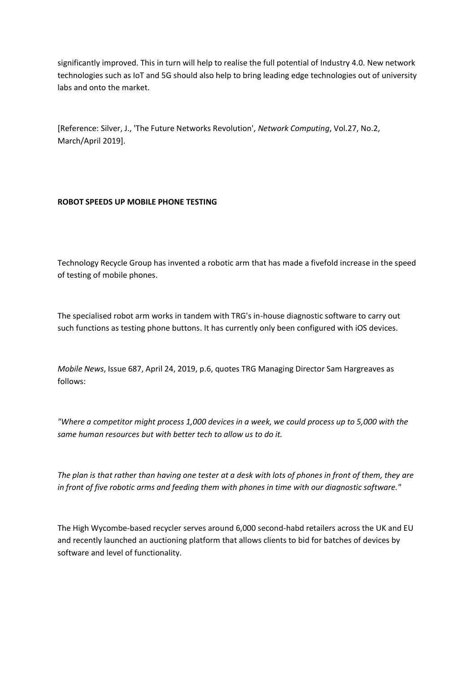significantly improved. This in turn will help to realise the full potential of Industry 4.0. New network technologies such as IoT and 5G should also help to bring leading edge technologies out of university labs and onto the market.

[Reference: Silver, J., 'The Future Networks Revolution', *Network Computing*, Vol.27, No.2, March/April 2019].

# **ROBOT SPEEDS UP MOBILE PHONE TESTING**

Technology Recycle Group has invented a robotic arm that has made a fivefold increase in the speed of testing of mobile phones.

The specialised robot arm works in tandem with TRG's in-house diagnostic software to carry out such functions as testing phone buttons. It has currently only been configured with iOS devices.

*Mobile News*, Issue 687, April 24, 2019, p.6, quotes TRG Managing Director Sam Hargreaves as follows:

*"Where a competitor might process 1,000 devices in a week, we could process up to 5,000 with the same human resources but with better tech to allow us to do it.*

*The plan is that rather than having one tester at a desk with lots of phones in front of them, they are in front of five robotic arms and feeding them with phones in time with our diagnostic software."*

The High Wycombe-based recycler serves around 6,000 second-habd retailers across the UK and EU and recently launched an auctioning platform that allows clients to bid for batches of devices by software and level of functionality.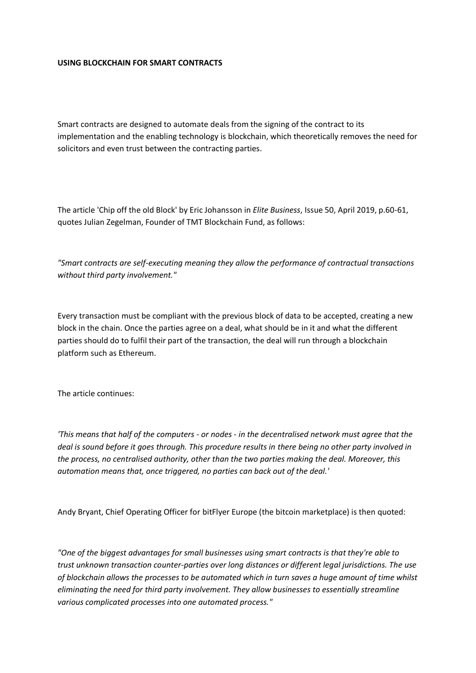### **USING BLOCKCHAIN FOR SMART CONTRACTS**

Smart contracts are designed to automate deals from the signing of the contract to its implementation and the enabling technology is blockchain, which theoretically removes the need for solicitors and even trust between the contracting parties.

The article 'Chip off the old Block' by Eric Johansson in *Elite Business*, Issue 50, April 2019, p.60-61, quotes Julian Zegelman, Founder of TMT Blockchain Fund, as follows:

*"Smart contracts are self-executing meaning they allow the performance of contractual transactions without third party involvement."*

Every transaction must be compliant with the previous block of data to be accepted, creating a new block in the chain. Once the parties agree on a deal, what should be in it and what the different parties should do to fulfil their part of the transaction, the deal will run through a blockchain platform such as Ethereum.

The article continues:

*'This means that half of the computers - or nodes - in the decentralised network must agree that the deal is sound before it goes through. This procedure results in there being no other party involved in the process, no centralised authority, other than the two parties making the deal. Moreover, this automation means that, once triggered, no parties can back out of the deal.'*

Andy Bryant, Chief Operating Officer for bitFlyer Europe (the bitcoin marketplace) is then quoted:

*"One of the biggest advantages for small businesses using smart contracts is that they're able to trust unknown transaction counter-parties over long distances or different legal jurisdictions. The use of blockchain allows the processes to be automated which in turn saves a huge amount of time whilst eliminating the need for third party involvement. They allow businesses to essentially streamline various complicated processes into one automated process."*